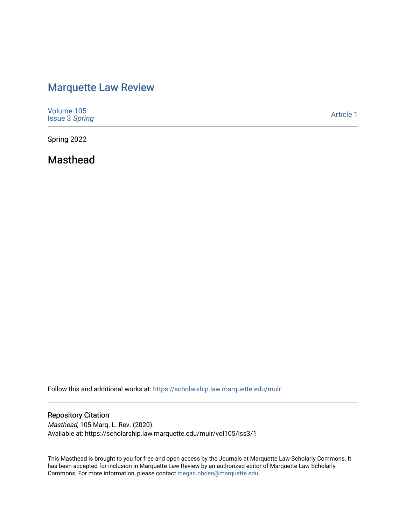## [Marquette Law Review](https://scholarship.law.marquette.edu/mulr)

| Volume 105<br><b>Issue 3 Spring</b> | Article 1 |
|-------------------------------------|-----------|
|-------------------------------------|-----------|

Spring 2022

Masthead

Follow this and additional works at: [https://scholarship.law.marquette.edu/mulr](https://scholarship.law.marquette.edu/mulr?utm_source=scholarship.law.marquette.edu%2Fmulr%2Fvol105%2Fiss3%2F1&utm_medium=PDF&utm_campaign=PDFCoverPages) 

## Repository Citation

Masthead, 105 Marq. L. Rev. (2020). Available at: https://scholarship.law.marquette.edu/mulr/vol105/iss3/1

This Masthead is brought to you for free and open access by the Journals at Marquette Law Scholarly Commons. It has been accepted for inclusion in Marquette Law Review by an authorized editor of Marquette Law Scholarly Commons. For more information, please contact [megan.obrien@marquette.edu](mailto:megan.obrien@marquette.edu).